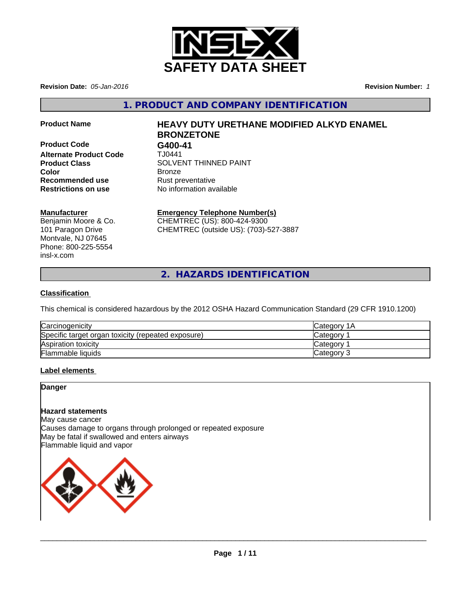

**Revision Date:** *05-Jan-2016* **Revision Number:** *1*

**1. PRODUCT AND COMPANY IDENTIFICATION**

**Product Code G400-41 Alternate Product Code** TJ0441 **Recommended use** Rust preventative **Restrictions on use** No information available

# **Product Name HEAVY DUTY URETHANE MODIFIED ALKYD ENAMEL BRONZETONE**

**Product Class SOLVENT THINNED PAINT Color** Bronze

### **Manufacturer**

Benjamin Moore & Co. 101 Paragon Drive Montvale, NJ 07645 Phone: 800-225-5554 insl-x.com

# **Emergency Telephone Number(s)**

CHEMTREC (US): 800-424-9300 CHEMTREC (outside US): (703)-527-3887

**2. HAZARDS IDENTIFICATION**

# **Classification**

This chemical is considered hazardous by the 2012 OSHA Hazard Communication Standard (29 CFR 1910.1200)

| Carcinogenicity                                    | ICategory 1A    |
|----------------------------------------------------|-----------------|
| Specific target organ toxicity (repeated exposure) | Category        |
| Aspiration toxicity                                | <b>Category</b> |
| <b>Flammable liquids</b>                           | Category 3      |

### **Label elements**

### **Danger**

### **Hazard statements**

May cause cancer Causes damage to organs through prolonged or repeated exposure May be fatal if swallowed and enters airways Flammable liquid and vapor



 $\overline{\phantom{a}}$  ,  $\overline{\phantom{a}}$  ,  $\overline{\phantom{a}}$  ,  $\overline{\phantom{a}}$  ,  $\overline{\phantom{a}}$  ,  $\overline{\phantom{a}}$  ,  $\overline{\phantom{a}}$  ,  $\overline{\phantom{a}}$  ,  $\overline{\phantom{a}}$  ,  $\overline{\phantom{a}}$  ,  $\overline{\phantom{a}}$  ,  $\overline{\phantom{a}}$  ,  $\overline{\phantom{a}}$  ,  $\overline{\phantom{a}}$  ,  $\overline{\phantom{a}}$  ,  $\overline{\phantom{a}}$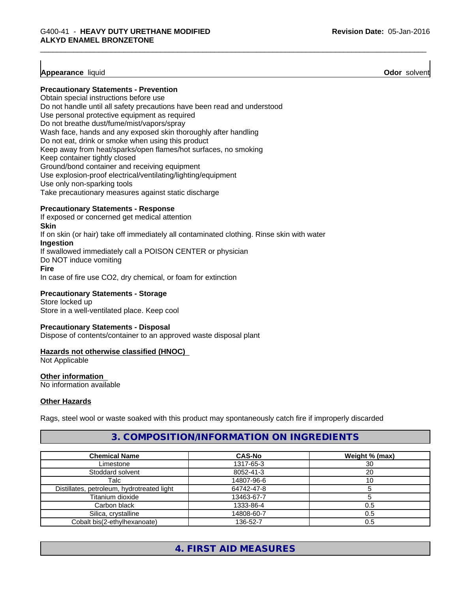### **Appearance** liquid **Odor** solvent

#### **Precautionary Statements - Prevention**

Obtain special instructions before use Do not handle until all safety precautions have been read and understood Use personal protective equipment as required Do not breathe dust/fume/mist/vapors/spray Wash face, hands and any exposed skin thoroughly after handling Do not eat, drink or smoke when using this product Keep away from heat/sparks/open flames/hot surfaces, no smoking Keep container tightly closed Ground/bond container and receiving equipment Use explosion-proof electrical/ventilating/lighting/equipment Use only non-sparking tools Take precautionary measures against static discharge

#### **Precautionary Statements - Response**

If exposed or concerned get medical attention **Skin** If on skin (or hair) take off immediately all contaminated clothing. Rinse skin with water **Ingestion** If swallowed immediately call a POISON CENTER or physician Do NOT induce vomiting **Fire** In case of fire use CO2, dry chemical, or foam for extinction

**Precautionary Statements - Storage** Store locked up Store in a well-ventilated place. Keep cool

### **Precautionary Statements - Disposal**

Dispose of contents/container to an approved waste disposal plant

### **Hazards not otherwise classified (HNOC)**

Not Applicable

### **Other information**

No information available

### **Other Hazards**

Rags, steel wool or waste soaked with this product may spontaneously catch fire if improperly discarded

### **3. COMPOSITION/INFORMATION ON INGREDIENTS**

| <b>Chemical Name</b>                       | <b>CAS-No</b> | Weight % (max) |
|--------------------------------------------|---------------|----------------|
| Limestone                                  | 1317-65-3     | 30             |
| Stoddard solvent                           | 8052-41-3     | 20             |
| Talc                                       | 14807-96-6    | 10             |
| Distillates, petroleum, hydrotreated light | 64742-47-8    |                |
| Titanium dioxide                           | 13463-67-7    |                |
| Carbon black                               | 1333-86-4     | 0.5            |
| Silica, crystalline                        | 14808-60-7    | 0.5            |
| Cobalt bis(2-ethylhexanoate)               | 136-52-7      | 0.5            |

# **4. FIRST AID MEASURES**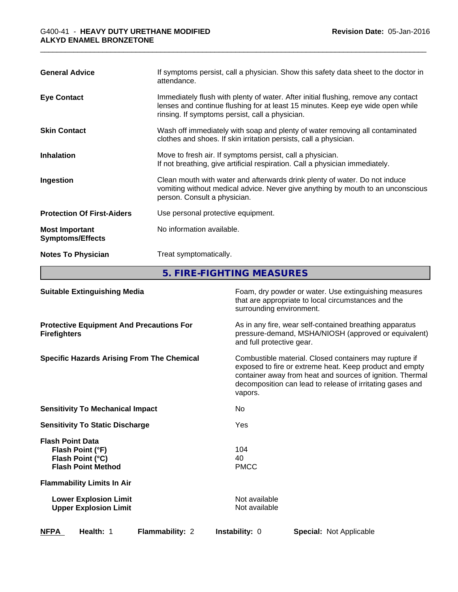| <b>General Advice</b>                            | If symptoms persist, call a physician. Show this safety data sheet to the doctor in<br>attendance.                                                                                                                      |  |  |  |
|--------------------------------------------------|-------------------------------------------------------------------------------------------------------------------------------------------------------------------------------------------------------------------------|--|--|--|
| <b>Eye Contact</b>                               | Immediately flush with plenty of water. After initial flushing, remove any contact<br>lenses and continue flushing for at least 15 minutes. Keep eye wide open while<br>rinsing. If symptoms persist, call a physician. |  |  |  |
| <b>Skin Contact</b>                              | Wash off immediately with soap and plenty of water removing all contaminated<br>clothes and shoes. If skin irritation persists, call a physician.                                                                       |  |  |  |
| <b>Inhalation</b>                                | Move to fresh air. If symptoms persist, call a physician.<br>If not breathing, give artificial respiration. Call a physician immediately.                                                                               |  |  |  |
| Ingestion                                        | Clean mouth with water and afterwards drink plenty of water. Do not induce<br>vomiting without medical advice. Never give anything by mouth to an unconscious<br>person. Consult a physician.                           |  |  |  |
| <b>Protection Of First-Aiders</b>                | Use personal protective equipment.                                                                                                                                                                                      |  |  |  |
| <b>Most Important</b><br><b>Symptoms/Effects</b> | No information available.                                                                                                                                                                                               |  |  |  |
| <b>Notes To Physician</b>                        | Treat symptomatically.                                                                                                                                                                                                  |  |  |  |

**5. FIRE-FIGHTING MEASURES**

| <b>Suitable Extinguishing Media</b>                                                          | surrounding environment.       | Foam, dry powder or water. Use extinguishing measures<br>that are appropriate to local circumstances and the                                                                                                                                |
|----------------------------------------------------------------------------------------------|--------------------------------|---------------------------------------------------------------------------------------------------------------------------------------------------------------------------------------------------------------------------------------------|
| <b>Protective Equipment And Precautions For</b><br><b>Firefighters</b>                       | and full protective gear.      | As in any fire, wear self-contained breathing apparatus<br>pressure-demand, MSHA/NIOSH (approved or equivalent)                                                                                                                             |
| <b>Specific Hazards Arising From The Chemical</b>                                            | vapors.                        | Combustible material. Closed containers may rupture if<br>exposed to fire or extreme heat. Keep product and empty<br>container away from heat and sources of ignition. Thermal<br>decomposition can lead to release of irritating gases and |
| <b>Sensitivity To Mechanical Impact</b>                                                      | No.                            |                                                                                                                                                                                                                                             |
| <b>Sensitivity To Static Discharge</b>                                                       | Yes                            |                                                                                                                                                                                                                                             |
| <b>Flash Point Data</b><br>Flash Point (°F)<br>Flash Point (°C)<br><b>Flash Point Method</b> | 104<br>40<br><b>PMCC</b>       |                                                                                                                                                                                                                                             |
| <b>Flammability Limits In Air</b>                                                            |                                |                                                                                                                                                                                                                                             |
| <b>Lower Explosion Limit</b><br><b>Upper Explosion Limit</b>                                 | Not available<br>Not available |                                                                                                                                                                                                                                             |
| <b>NFPA</b><br>Health: 1<br><b>Flammability: 2</b>                                           | <b>Instability: 0</b>          | <b>Special: Not Applicable</b>                                                                                                                                                                                                              |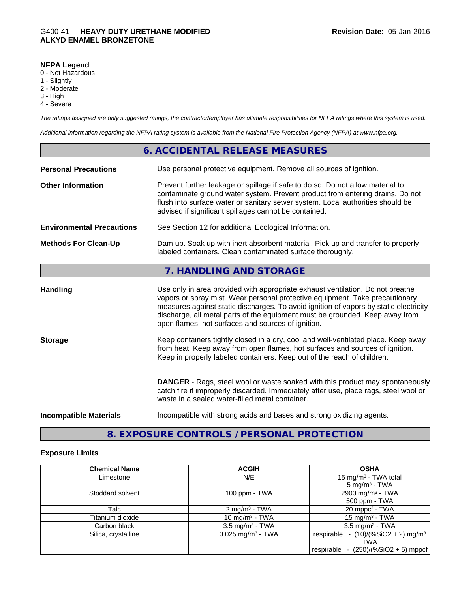### **NFPA Legend**

- 0 Not Hazardous
- 1 Slightly
- 2 Moderate
- 3 High
- 4 Severe

*The ratings assigned are only suggested ratings, the contractor/employer has ultimate responsibilities for NFPA ratings where this system is used.*

*Additional information regarding the NFPA rating system is available from the National Fire Protection Agency (NFPA) at www.nfpa.org.*

|                                  | <b>6. ACCIDENTAL RELEASE MEASURES</b>                                                                                                                                                                                                                                                                                                                                                         |  |
|----------------------------------|-----------------------------------------------------------------------------------------------------------------------------------------------------------------------------------------------------------------------------------------------------------------------------------------------------------------------------------------------------------------------------------------------|--|
| <b>Personal Precautions</b>      | Use personal protective equipment. Remove all sources of ignition.                                                                                                                                                                                                                                                                                                                            |  |
| <b>Other Information</b>         | Prevent further leakage or spillage if safe to do so. Do not allow material to<br>contaminate ground water system. Prevent product from entering drains. Do not<br>flush into surface water or sanitary sewer system. Local authorities should be<br>advised if significant spillages cannot be contained.                                                                                    |  |
| <b>Environmental Precautions</b> | See Section 12 for additional Ecological Information.                                                                                                                                                                                                                                                                                                                                         |  |
| <b>Methods For Clean-Up</b>      | Dam up. Soak up with inert absorbent material. Pick up and transfer to properly<br>labeled containers. Clean contaminated surface thoroughly.                                                                                                                                                                                                                                                 |  |
|                                  | 7. HANDLING AND STORAGE                                                                                                                                                                                                                                                                                                                                                                       |  |
| <b>Handling</b>                  | Use only in area provided with appropriate exhaust ventilation. Do not breathe<br>vapors or spray mist. Wear personal protective equipment. Take precautionary<br>measures against static discharges. To avoid ignition of vapors by static electricity<br>discharge, all metal parts of the equipment must be grounded. Keep away from<br>open flames, hot surfaces and sources of ignition. |  |
| <b>Storage</b>                   | Keep containers tightly closed in a dry, cool and well-ventilated place. Keep away<br>from heat. Keep away from open flames, hot surfaces and sources of ignition.<br>Keep in properly labeled containers. Keep out of the reach of children.                                                                                                                                                 |  |
|                                  | <b>DANGER</b> - Rags, steel wool or waste soaked with this product may spontaneously<br>catch fire if improperly discarded. Immediately after use, place rags, steel wool or<br>waste in a sealed water-filled metal container.                                                                                                                                                               |  |
| <b>Incompatible Materials</b>    | Incompatible with strong acids and bases and strong oxidizing agents.                                                                                                                                                                                                                                                                                                                         |  |

# **8. EXPOSURE CONTROLS / PERSONAL PROTECTION**

### **Exposure Limits**

| <b>Chemical Name</b> | <b>ACGIH</b>                    | <b>OSHA</b>                                       |
|----------------------|---------------------------------|---------------------------------------------------|
| Limestone            | N/E                             | 15 mg/m <sup>3</sup> - TWA total                  |
|                      |                                 | $5 \text{ mg/m}^3$ - TWA                          |
| Stoddard solvent     | 100 ppm - $TWA$                 | 2900 mg/m <sup>3</sup> - TWA                      |
|                      |                                 | 500 ppm - TWA                                     |
| Talc                 | $2 \text{ mg/m}^3$ - TWA        | 20 mppcf - TWA                                    |
| Titanium dioxide     | 10 mg/m <sup>3</sup> - TWA      | 15 mg/m <sup>3</sup> - TWA                        |
| Carbon black         | $3.5 \text{ mg/m}^3$ - TWA      | $3.5 \text{ mg/m}^3$ - TWA                        |
| Silica, crystalline  | $0.025$ mg/m <sup>3</sup> - TWA | respirable - $(10)/(%SiO2 + 2)$ mg/m <sup>3</sup> |
|                      |                                 | <b>TWA</b>                                        |
|                      |                                 | $-$ (250)/(%SiO2 + 5) mppcf<br>respirable         |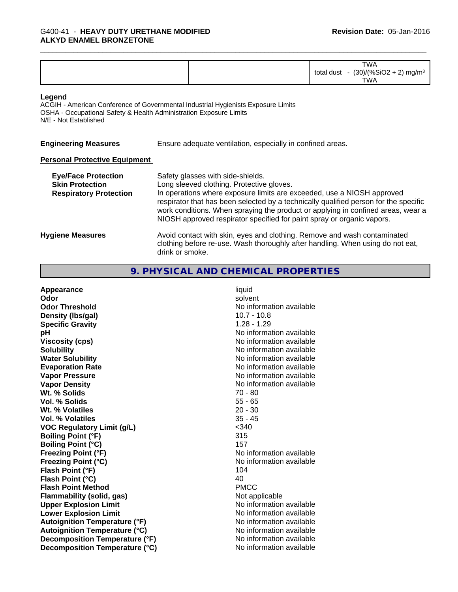| <b>TWA</b><br>(%SiO2 +<br>1101<br>total<br>dust<br>mg/m <sup>3</sup><br>31 I V<br>$\sim$<br>$\sim$<br><b>TWA</b> |  |
|------------------------------------------------------------------------------------------------------------------|--|
|------------------------------------------------------------------------------------------------------------------|--|

#### **Legend**

ACGIH - American Conference of Governmental Industrial Hygienists Exposure Limits OSHA - Occupational Safety & Health Administration Exposure Limits N/E - Not Established

| <b>Engineering Measures</b> | Ensure adequate ventilation, especially in confined areas. |  |
|-----------------------------|------------------------------------------------------------|--|
|-----------------------------|------------------------------------------------------------|--|

### **Personal Protective Equipment**

| <b>Eye/Face Protection</b><br><b>Skin Protection</b><br><b>Respiratory Protection</b> | Safety glasses with side-shields.<br>Long sleeved clothing. Protective gloves.<br>In operations where exposure limits are exceeded, use a NIOSH approved<br>respirator that has been selected by a technically qualified person for the specific<br>work conditions. When spraying the product or applying in confined areas, wear a<br>NIOSH approved respirator specified for paint spray or organic vapors. |
|---------------------------------------------------------------------------------------|----------------------------------------------------------------------------------------------------------------------------------------------------------------------------------------------------------------------------------------------------------------------------------------------------------------------------------------------------------------------------------------------------------------|
| <b>Hygiene Measures</b>                                                               | Avoid contact with skin, eyes and clothing. Remove and wash contaminated<br>clothing before re-use. Wash thoroughly after handling. When using do not eat,<br>drink or smoke.                                                                                                                                                                                                                                  |

# **9. PHYSICAL AND CHEMICAL PROPERTIES**

| Appearance                           | liquid                   |
|--------------------------------------|--------------------------|
| Odor                                 | solvent                  |
| <b>Odor Threshold</b>                | No information available |
| Density (Ibs/gal)                    | $10.7 - 10.8$            |
| <b>Specific Gravity</b>              | $1.28 - 1.29$            |
| рH                                   | No information available |
| <b>Viscosity (cps)</b>               | No information available |
| <b>Solubility</b>                    | No information available |
| <b>Water Solubility</b>              | No information available |
| <b>Evaporation Rate</b>              | No information available |
| <b>Vapor Pressure</b>                | No information available |
| <b>Vapor Density</b>                 | No information available |
| Wt. % Solids                         | $70 - 80$                |
| Vol. % Solids                        | $55 - 65$                |
| Wt. % Volatiles                      | $20 - 30$                |
| <b>Vol. % Volatiles</b>              | $35 - 45$                |
| <b>VOC Regulatory Limit (g/L)</b>    | $340$                    |
| <b>Boiling Point (°F)</b>            | 315                      |
| <b>Boiling Point (°C)</b>            | 157                      |
| <b>Freezing Point (°F)</b>           | No information available |
| <b>Freezing Point (°C)</b>           | No information available |
| Flash Point (°F)                     | 104                      |
| Flash Point (°C)                     | 40                       |
| <b>Flash Point Method</b>            | <b>PMCC</b>              |
| <b>Flammability (solid, gas)</b>     | Not applicable           |
| <b>Upper Explosion Limit</b>         | No information available |
| <b>Lower Explosion Limit</b>         | No information available |
| <b>Autoignition Temperature (°F)</b> | No information available |
| <b>Autoignition Temperature (°C)</b> | No information available |
| Decomposition Temperature (°F)       | No information available |
| Decomposition Temperature (°C)       | No information available |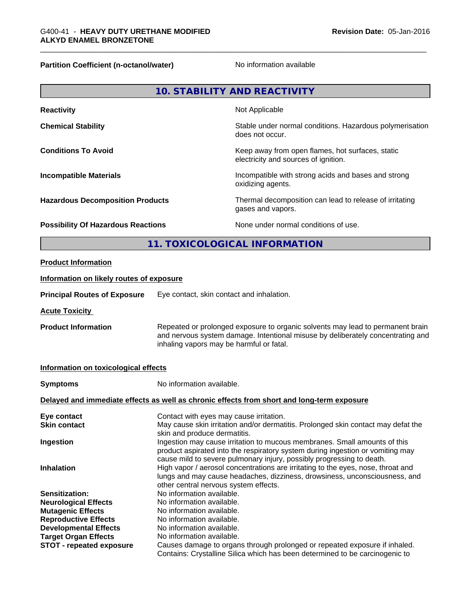**Partition Coefficient (n-octanol/water)** No information available

|                                                                                                          |                                                                                                                                                                                                                                                                                                                           | <b>10. STABILITY AND REACTIVITY</b>                                                        |
|----------------------------------------------------------------------------------------------------------|---------------------------------------------------------------------------------------------------------------------------------------------------------------------------------------------------------------------------------------------------------------------------------------------------------------------------|--------------------------------------------------------------------------------------------|
| <b>Reactivity</b>                                                                                        |                                                                                                                                                                                                                                                                                                                           | Not Applicable                                                                             |
| <b>Chemical Stability</b>                                                                                | Stable under normal conditions. Hazardous polymerisation<br>does not occur.                                                                                                                                                                                                                                               |                                                                                            |
| <b>Conditions To Avoid</b>                                                                               |                                                                                                                                                                                                                                                                                                                           | Keep away from open flames, hot surfaces, static<br>electricity and sources of ignition.   |
| <b>Incompatible Materials</b>                                                                            |                                                                                                                                                                                                                                                                                                                           | Incompatible with strong acids and bases and strong<br>oxidizing agents.                   |
| <b>Hazardous Decomposition Products</b>                                                                  |                                                                                                                                                                                                                                                                                                                           | Thermal decomposition can lead to release of irritating<br>gases and vapors.               |
| <b>Possibility Of Hazardous Reactions</b>                                                                |                                                                                                                                                                                                                                                                                                                           | None under normal conditions of use.                                                       |
|                                                                                                          |                                                                                                                                                                                                                                                                                                                           | 11. TOXICOLOGICAL INFORMATION                                                              |
| <b>Product Information</b>                                                                               |                                                                                                                                                                                                                                                                                                                           |                                                                                            |
| Information on likely routes of exposure                                                                 |                                                                                                                                                                                                                                                                                                                           |                                                                                            |
| <b>Principal Routes of Exposure</b>                                                                      | Eye contact, skin contact and inhalation.                                                                                                                                                                                                                                                                                 |                                                                                            |
| <b>Acute Toxicity</b>                                                                                    |                                                                                                                                                                                                                                                                                                                           |                                                                                            |
| <b>Product Information</b>                                                                               | Repeated or prolonged exposure to organic solvents may lead to permanent brain<br>and nervous system damage. Intentional misuse by deliberately concentrating and<br>inhaling vapors may be harmful or fatal.                                                                                                             |                                                                                            |
| Information on toxicological effects                                                                     |                                                                                                                                                                                                                                                                                                                           |                                                                                            |
| <b>Symptoms</b>                                                                                          | No information available.                                                                                                                                                                                                                                                                                                 |                                                                                            |
|                                                                                                          |                                                                                                                                                                                                                                                                                                                           | Delayed and immediate effects as well as chronic effects from short and long-term exposure |
| Eye contact<br><b>Skin contact</b>                                                                       | Contact with eyes may cause irritation.<br>May cause skin irritation and/or dermatitis. Prolonged skin contact may defat the                                                                                                                                                                                              |                                                                                            |
| Ingestion                                                                                                | skin and produce dermatitis.<br>Ingestion may cause irritation to mucous membranes. Small amounts of this                                                                                                                                                                                                                 |                                                                                            |
| Inhalation                                                                                               | product aspirated into the respiratory system during ingestion or vomiting may<br>cause mild to severe pulmonary injury, possibly progressing to death.<br>High vapor / aerosol concentrations are irritating to the eyes, nose, throat and<br>lungs and may cause headaches, dizziness, drowsiness, unconsciousness, and |                                                                                            |
| Sensitization:<br><b>Neurological Effects</b><br><b>Mutagenic Effects</b><br><b>Reproductive Effects</b> | other central nervous system effects.<br>No information available.<br>No information available.<br>No information available.<br>No information available.                                                                                                                                                                 |                                                                                            |

- 
- **Developmental Effects** No information available.<br> **Target Organ Effects** No information available.

**Target Organ Effects<br><b>STOT** - repeated exposure **STOT - repeated exposure** Causes damage to organs through prolonged or repeated exposure if inhaled. Contains: Crystalline Silica which has been determined to be carcinogenic to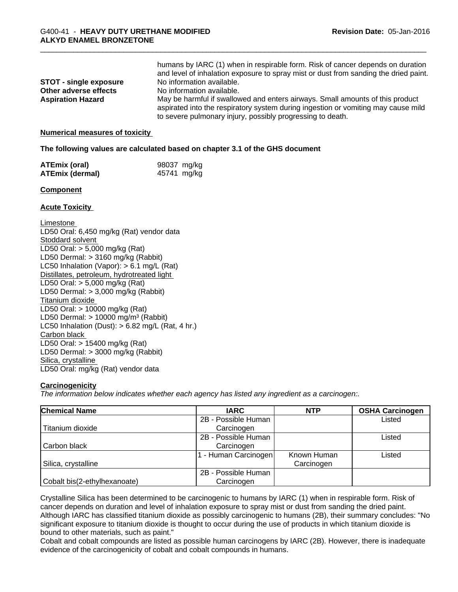| <b>STOT - single exposure</b> | humans by IARC (1) when in respirable form. Risk of cancer depends on duration<br>and level of inhalation exposure to spray mist or dust from sanding the dried paint.<br>No information available. |
|-------------------------------|-----------------------------------------------------------------------------------------------------------------------------------------------------------------------------------------------------|
| Other adverse effects         | No information available.                                                                                                                                                                           |
| <b>Aspiration Hazard</b>      | May be harmful if swallowed and enters airways. Small amounts of this product                                                                                                                       |
|                               | aspirated into the respiratory system during ingestion or vomiting may cause mild                                                                                                                   |
|                               | to severe pulmonary injury, possibly progressing to death.                                                                                                                                          |

#### **Numerical measures of toxicity**

#### **The following values are calculated based on chapter 3.1 of the GHS document**

| <b>ATEmix (oral)</b>   | 98037 mg/kg |
|------------------------|-------------|
| <b>ATEmix (dermal)</b> | 45741 mg/kg |

#### **Component**

#### **Acute Toxicity**

Limestone LD50 Oral: 6,450 mg/kg (Rat) vendor data Stoddard solvent LD50 Oral: > 5,000 mg/kg (Rat) LD50 Dermal: > 3160 mg/kg (Rabbit) LC50 Inhalation (Vapor): > 6.1 mg/L (Rat) Distillates, petroleum, hydrotreated light LD50 Oral: > 5,000 mg/kg (Rat) LD50 Dermal: > 3,000 mg/kg (Rabbit) Titanium dioxide LD50 Oral: > 10000 mg/kg (Rat) LD50 Dermal:  $> 10000$  mg/m<sup>3</sup> (Rabbit) LC50 Inhalation (Dust):  $> 6.82$  mg/L (Rat, 4 hr.) Carbon black LD50 Oral: > 15400 mg/kg (Rat) LD50 Dermal: > 3000 mg/kg (Rabbit) Silica, crystalline LD50 Oral: mg/kg (Rat) vendor data

#### **Carcinogenicity**

*The information below indicateswhether each agency has listed any ingredient as a carcinogen:.*

| <b>Chemical Name</b>         | <b>IARC</b>          | <b>NTP</b>  | <b>OSHA Carcinogen</b> |
|------------------------------|----------------------|-------------|------------------------|
|                              | 2B - Possible Human  |             | Listed                 |
| Titanium dioxide             | Carcinogen           |             |                        |
|                              | 2B - Possible Human  |             | Listed                 |
| Carbon black                 | Carcinogen           |             |                        |
|                              | 1 - Human Carcinogen | Known Human | Listed                 |
| Silica, crystalline          |                      | Carcinogen  |                        |
|                              | 2B - Possible Human  |             |                        |
| Cobalt bis(2-ethylhexanoate) | Carcinogen           |             |                        |

Crystalline Silica has been determined to be carcinogenic to humans by IARC (1) when in respirable form. Risk of cancer depends on duration and level of inhalation exposure to spray mist or dust from sanding the dried paint.<br>Although IARC has classified titanium dioxide as possibly carcinogenic to humans (2B), their summary concludes significant exposure to titanium dioxide is thought to occur during the use of products in which titanium dioxide is bound to other materials, such as paint."

Cobalt and cobalt compounds are listed as possible human carcinogens by IARC (2B). However, there isinadequate evidence of the carcinogenicity of cobalt and cobalt compounds in humans.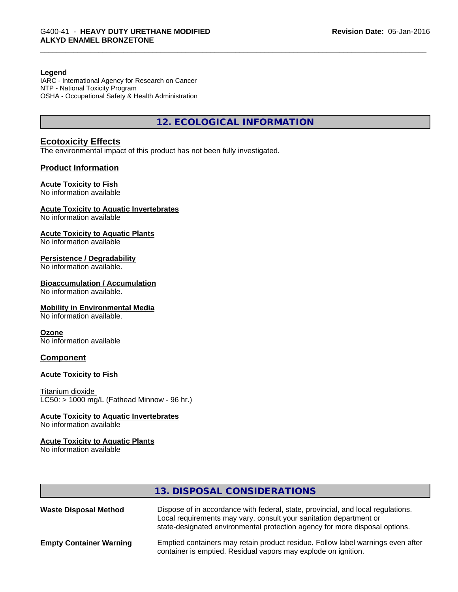#### **Legend**

IARC - International Agency for Research on Cancer NTP - National Toxicity Program OSHA - Occupational Safety & Health Administration

**12. ECOLOGICAL INFORMATION**

### **Ecotoxicity Effects**

The environmental impact of this product has not been fully investigated.

### **Product Information**

### **Acute Toxicity to Fish**

No information available

#### **Acute Toxicity to Aquatic Invertebrates**

No information available

#### **Acute Toxicity to Aquatic Plants**

No information available

#### **Persistence / Degradability**

No information available.

#### **Bioaccumulation / Accumulation**

No information available.

#### **Mobility in Environmental Media**

No information available.

#### **Ozone**

No information available

#### **Component**

### **Acute Toxicity to Fish**

Titanium dioxide  $\overline{\text{LC50:}}$  > 1000 mg/L (Fathead Minnow - 96 hr.)

# **Acute Toxicity to Aquatic Invertebrates**

No information available

# **Acute Toxicity to Aquatic Plants**

No information available

| 13. DISPOSAL CONSIDERATIONS |  |
|-----------------------------|--|
|-----------------------------|--|

| <b>Waste Disposal Method</b>   | Dispose of in accordance with federal, state, provincial, and local regulations.<br>Local requirements may vary, consult your sanitation department or<br>state-designated environmental protection agency for more disposal options. |
|--------------------------------|---------------------------------------------------------------------------------------------------------------------------------------------------------------------------------------------------------------------------------------|
| <b>Empty Container Warning</b> | Emptied containers may retain product residue. Follow label warnings even after<br>container is emptied. Residual vapors may explode on ignition.                                                                                     |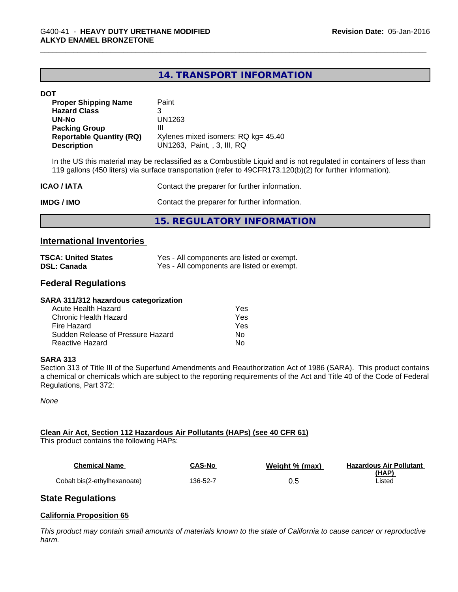# **14. TRANSPORT INFORMATION**

#### **DOT**

| <b>Proper Shipping Name</b>     | Paint                               |
|---------------------------------|-------------------------------------|
| <b>Hazard Class</b>             |                                     |
| UN-No                           | UN1263                              |
| <b>Packing Group</b>            | Ш                                   |
| <b>Reportable Quantity (RQ)</b> | Xylenes mixed isomers: RQ kg= 45.40 |
| <b>Description</b>              | UN1263, Paint, 3, III, RQ           |

In the US this material may be reclassified as a Combustible Liquid and is not regulated in containers of less than 119 gallons (450 liters) via surface transportation (refer to 49CFR173.120(b)(2) for further information).

| ICAO / IATA       | Contact the preparer for further information. |
|-------------------|-----------------------------------------------|
| <b>IMDG / IMO</b> | Contact the preparer for further information. |

**15. REGULATORY INFORMATION**

### **International Inventories**

| <b>TSCA: United States</b> | Yes - All components are listed or exempt. |
|----------------------------|--------------------------------------------|
| <b>DSL: Canada</b>         | Yes - All components are listed or exempt. |

# **Federal Regulations**

#### **SARA 311/312 hazardous categorization**

| Acute Health Hazard               | Yes |  |
|-----------------------------------|-----|--|
| Chronic Health Hazard             | Yes |  |
| Fire Hazard                       | Yes |  |
| Sudden Release of Pressure Hazard | Nο  |  |
| Reactive Hazard                   | Nο  |  |

### **SARA 313**

Section 313 of Title III of the Superfund Amendments and Reauthorization Act of 1986 (SARA). This product contains a chemical or chemicals which are subject to the reporting requirements of the Act and Title 40 of the Code of Federal Regulations, Part 372:

*None*

### **Clean Air Act,Section 112 Hazardous Air Pollutants (HAPs) (see 40 CFR 61)**

This product contains the following HAPs:

| Chemical Name                | <b>CAS-No</b> | Weight % (max) | <b>Hazardous Air Pollutant</b> |
|------------------------------|---------------|----------------|--------------------------------|
|                              |               |                | <u>(HAP)</u>                   |
| Cobalt bis(2-ethylhexanoate) | 136-52-7      |                | Listec                         |

# **State Regulations**

### **California Proposition 65**

This product may contain small amounts of materials known to the state of California to cause cancer or reproductive *harm.*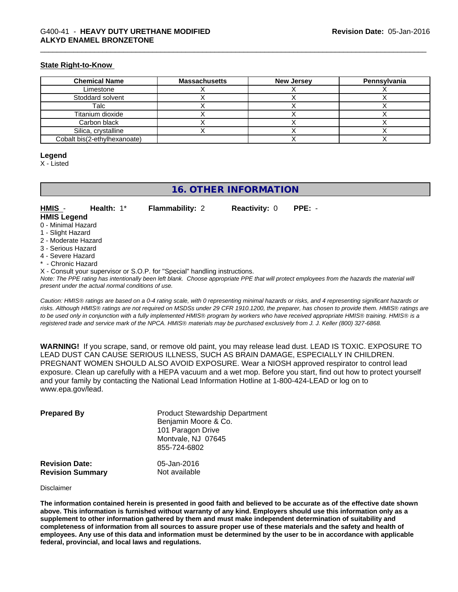### **State Right-to-Know**

| <b>Chemical Name</b>         | <b>Massachusetts</b> | <b>New Jersey</b> | Pennsylvania |
|------------------------------|----------------------|-------------------|--------------|
| Limestone                    |                      |                   |              |
| Stoddard solvent             |                      |                   |              |
| Talc                         |                      |                   |              |
| Titanium dioxide             |                      |                   |              |
| Carbon black                 |                      |                   |              |
| Silica, crystalline          |                      |                   |              |
| Cobalt bis(2-ethylhexanoate) |                      |                   |              |

#### **Legend**

X - Listed

# **16. OTHER INFORMATION**

#### **HMIS** - **Health:** 1\* **Flammability:** 2 **Reactivity:** 0 **PPE:** - **HMIS Legend**

- 0 Minimal Hazard
- 1 Slight Hazard
- 2 Moderate Hazard
- 3 Serious Hazard
- 4 Severe Hazard
- \* Chronic Hazard
- X Consult your supervisor or S.O.P. for "Special" handling instructions.

*Note: The PPE rating has intentionally been left blank. Choose appropriate PPE that will protect employees from the hazards the material will present under the actual normal conditions of use.*

*Caution: HMISÒ ratings are based on a 0-4 rating scale, with 0 representing minimal hazards or risks, and 4 representing significant hazards or risks. Although HMISÒ ratings are not required on MSDSs under 29 CFR 1910.1200, the preparer, has chosen to provide them. HMISÒ ratings are to be used only in conjunction with a fully implemented HMISÒ program by workers who have received appropriate HMISÒ training. HMISÒ is a registered trade and service mark of the NPCA. HMISÒ materials may be purchased exclusively from J. J. Keller (800) 327-6868.*

**WARNING!** If you scrape, sand, or remove old paint, you may release lead dust. LEAD IS TOXIC. EXPOSURE TO LEAD DUST CAN CAUSE SERIOUS ILLNESS, SUCH AS BRAIN DAMAGE, ESPECIALLY IN CHILDREN. PREGNANT WOMEN SHOULD ALSO AVOID EXPOSURE.Wear a NIOSH approved respirator to control lead exposure. Clean up carefully with a HEPA vacuum and a wet mop. Before you start, find out how to protect yourself and your family by contacting the National Lead Information Hotline at 1-800-424-LEAD or log on to www.epa.gov/lead.

| <b>Prepared By</b>                               | <b>Product Stewardship Department</b><br>Benjamin Moore & Co.<br>101 Paragon Drive<br>Montvale, NJ 07645<br>855-724-6802 |  |
|--------------------------------------------------|--------------------------------------------------------------------------------------------------------------------------|--|
| <b>Revision Date:</b><br><b>Revision Summary</b> | 05-Jan-2016<br>Not available                                                                                             |  |

#### Disclaimer

The information contained herein is presented in good faith and believed to be accurate as of the effective date shown above. This information is furnished without warranty of any kind. Employers should use this information only as a **supplement to other information gathered by them and must make independent determination of suitability and** completeness of information from all sources to assure proper use of these materials and the safety and health of employees. Any use of this data and information must be determined by the user to be in accordance with applicable **federal, provincial, and local laws and regulations.**